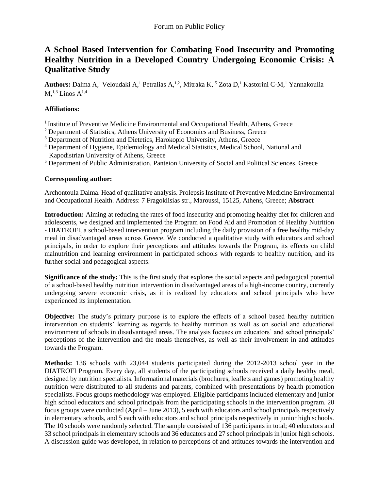# **A School Based Intervention for Combating Food Insecurity and Promoting Healthy Nutrition in a Developed Country Undergoing Economic Crisis: A Qualitative Study**

Authors: Dalma A,<sup>1</sup> Veloudaki A,<sup>1</sup> Petralias A,<sup>1,2</sup>, Mitraka K,<sup>5</sup> Zota D,<sup>1</sup> Kastorini C-M,<sup>1</sup> Yannakoulia  $M^{1,3}$  Linos  $A^{1,4}$ 

# **Affiliations:**

- <sup>1</sup> Institute of Preventive Medicine Environmental and Occupational Health, Athens, Greece
- <sup>2</sup> Department of Statistics, Athens University of Economics and Business, Greece
- <sup>3</sup> Department of Nutrition and Dietetics, Harokopio University, Athens, Greece
- <sup>4</sup> Department of Hygiene, Epidemiology and Medical Statistics, Medical School, National and Kapodistrian University of Athens, Greece
- <sup>5</sup> Department of Public Administration, Panteion University of Social and Political Sciences, Greece

## **Corresponding author:**

Archontoula Dalma. Head of qualitative analysis. Prolepsis Institute of Preventive Medicine Environmental and Occupational Health. Address: 7 Fragoklisias str., Maroussi, 15125, Athens, Greece; **Abstract**

**Introduction:** Aiming at reducing the rates of food insecurity and promoting healthy diet for children and adolescents, we designed and implemented the Program on Food Aid and Promotion of Healthy Nutrition - DIATROFI, a school-based intervention program including the daily provision of a free healthy mid-day meal in disadvantaged areas across Greece. We conducted a qualitative study with educators and school principals, in order to explore their perceptions and attitudes towards the Program, its effects on child malnutrition and learning environment in participated schools with regards to healthy nutrition, and its further social and pedagogical aspects.

**Significance of the study:** This is the first study that explores the social aspects and pedagogical potential of a school-based healthy nutrition intervention in disadvantaged areas of a high-income country, currently undergoing severe economic crisis, as it is realized by educators and school principals who have experienced its implementation.

**Objective:** The study's primary purpose is to explore the effects of a school based healthy nutrition intervention on students' learning as regards to healthy nutrition as well as on social and educational environment of schools in disadvantaged areas. The analysis focuses on educators' and school principals' perceptions of the intervention and the meals themselves, as well as their involvement in and attitudes towards the Program.

**Methods:** 136 schools with 23,044 students participated during the 2012-2013 school year in the DIATROFI Program. Every day, all students of the participating schools received a daily healthy meal, designed by nutrition specialists. Informational materials (brochures, leaflets and games) promoting healthy nutrition were distributed to all students and parents, combined with presentations by health promotion specialists. Focus groups methodology was employed. Eligible participants included elementary and junior high school educators and school principals from the participating schools in the intervention program. 20 focus groups were conducted (April – June 2013), 5 each with educators and school principals respectively in elementary schools, and 5 each with educators and school principals respectively in junior high schools. The 10 schools were randomly selected. The sample consisted of 136 participants in total; 40 educators and 33 school principals in elementary schools and 36 educators and 27 school principals in junior high schools. A discussion guide was developed, in relation to perceptions of and attitudes towards the intervention and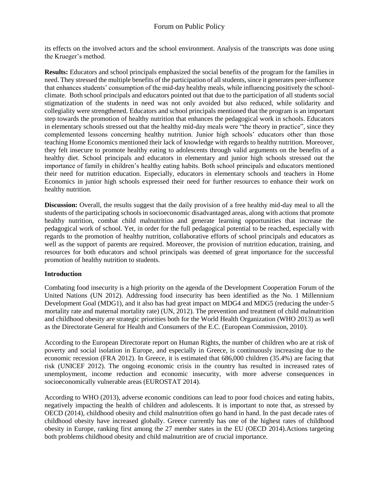its effects on the involved actors and the school environment. Analysis of the transcripts was done using the Krueger's method.

**Results:** Educators and school principals emphasized the social benefits of the program for the families in need. They stressed the multiple benefits of the participation of all students, since it generates peer-influence that enhances students' consumption of the mid-day healthy meals, while influencing positively the schoolclimate. Both school principals and educators pointed out that due to the participation of all students social stigmatization of the students in need was not only avoided but also reduced, while solidarity and collegiality were strengthened. Educators and school principals mentioned that the program is an important step towards the promotion of healthy nutrition that enhances the pedagogical work in schools. Educators in elementary schools stressed out that the healthy mid-day meals were "the theory in practice", since they complemented lessons concerning healthy nutrition. Junior high schools' educators other than those teaching Home Economics mentioned their lack of knowledge with regards to healthy nutrition. Moreover, they felt insecure to promote healthy eating to adolescents through valid arguments on the benefits of a healthy diet. School principals and educators in elementary and junior high schools stressed out the importance of family in children's healthy eating habits. Both school principals and educators mentioned their need for nutrition education. Especially, educators in elementary schools and teachers in Home Economics in junior high schools expressed their need for further resources to enhance their work on healthy nutrition.

**Discussion:** Overall, the results suggest that the daily provision of a free healthy mid-day meal to all the students of the participating schools in socioeconomic disadvantaged areas, along with actions that promote healthy nutrition, combat child malnutrition and generate learning opportunities that increase the pedagogical work of school. Yet, in order for the full pedagogical potential to be reached, especially with regards to the promotion of healthy nutrition, collaborative efforts of school principals and educators as well as the support of parents are required. Moreover, the provision of nutrition education, training, and resources for both educators and school principals was deemed of great importance for the successful promotion of healthy nutrition to students.

## **Introduction**

Combating food insecurity is a high priority on the agenda of the Development Cooperation Forum of the United Nations (UN 2012). Addressing food insecurity has been identified as the No. 1 Millennium Development Goal (MDG1), and it also has had great impact on MDG4 and MDG5 (reducing the under-5 mortality rate and maternal mortality rate) (UN, 2012). The prevention and treatment of child malnutrition and childhood obesity are strategic priorities both for the World Health Organization (WHO 2013) as well as the Directorate General for Health and Consumers of the E.C. (European Commission, 2010).

According to the European Directorate report on Human Rights, the number of children who are at risk of poverty and social isolation in Europe, and especially in Greece, is continuously increasing due to the economic recession (FRA 2012). In Greece, it is estimated that 686,000 children (35.4%) are facing that risk (UNICEF 2012). The ongoing economic crisis in the country has resulted in increased rates of unemployment, income reduction and economic insecurity, with more adverse consequences in socioeconomically vulnerable areas (EUROSTAT 2014).

According to WHO (2013), adverse economic conditions can lead to poor food choices and eating habits, negatively impacting the health of children and adolescents. It is important to note that, as stressed by OECD (2014), childhood obesity and child malnutrition often go hand in hand. In the past decade rates of childhood obesity have increased globally. Greece currently has one of the highest rates of childhood obesity in Europe, ranking first among the 27 member states in the EU (OECD 2014).Actions targeting both problems childhood obesity and child malnutrition are of crucial importance.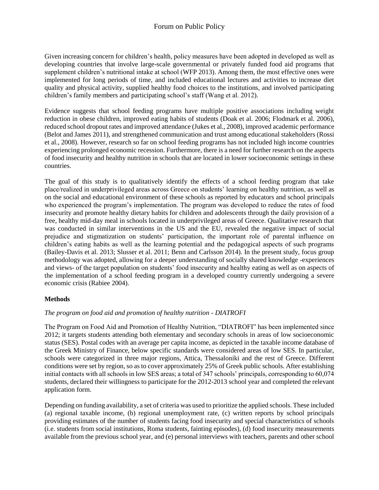Given increasing concern for children's health, policy measures have been adopted in developed as well as developing countries that involve large-scale governmental or privately funded food aid programs that supplement children's nutritional intake at school (WFP 2013). Among them, the most effective ones were implemented for long periods of time, and included educational lectures and activities to increase diet quality and physical activity, supplied healthy food choices to the institutions, and involved participating children's family members and participating school's staff (Wang et al. 2012).

Evidence suggests that school feeding programs have multiple positive associations including weight reduction in obese children, improved eating habits of students (Doak et al. 2006; Flodmark et al. 2006), reduced school dropout rates and improved attendance (Jukes et al., 2008), improved academic performance (Belot and James 2011), and strengthened communication and trust among educational stakeholders (Rossi et al., 2008). However, research so far on school feeding programs has not included high income countries experiencing prolonged economic recession. Furthermore, there is a need for further research on the aspects of food insecurity and healthy nutrition in schools that are located in lower socioeconomic settings in these countries.

The goal of this study is to qualitatively identify the effects of a school feeding program that take place/realized in underprivileged areas across Greece on students' learning on healthy nutrition, as well as on the social and educational environment of these schools as reported by educators and school principals who experienced the program's implementation. The program was developed to reduce the rates of food insecurity and promote healthy dietary habits for children and adolescents through the daily provision of a free, healthy mid-day meal in schools located in underprivileged areas of Greece. Qualitative research that was conducted in similar interventions in the US and the EU, revealed the negative impact of social prejudice and stigmatization on students' participation, the important role of parental influence on children's eating habits as well as the learning potential and the pedagogical aspects of such programs (Bailey-Davis et al. 2013; Slusser et al. 2011; Benn and Carlsson 2014). In the present study, focus group methodology was adopted, allowing for a deeper understanding of socially shared knowledge -experiences and views- of the target population on students' food insecurity and healthy eating as well as on aspects of the implementation of a school feeding program in a developed country currently undergoing a severe economic crisis (Rabiee 2004).

## **Methods**

## *The program on food aid and promotion of healthy nutrition - DIATROFI*

The Program on Food Aid and Promotion of Healthy Nutrition, "DIATROFI" has been implemented since 2012; it targets students attending both elementary and secondary schools in areas of low socioeconomic status (SES). Postal codes with an average per capita income, as depicted in the taxable income database of the Greek Ministry of Finance, below specific standards were considered areas of low SES. In particular, schools were categorized in three major regions, Attica, Thessaloniki and the rest of Greece. Different conditions were set by region, so as to cover approximately 25% of Greek public schools. After establishing initial contacts with all schools in low SES areas; a total of 347 schools' principals, corresponding to 60,074 students, declared their willingness to participate for the 2012-2013 school year and completed the relevant application form.

Depending on funding availability, a set of criteria was used to prioritize the applied schools. These included (a) regional taxable income, (b) regional unemployment rate, (c) written reports by school principals providing estimates of the number of students facing food insecurity and special characteristics of schools (i.e. students from social institutions, Roma students, fainting episodes), (d) food insecurity measurements available from the previous school year, and (e) personal interviews with teachers, parents and other school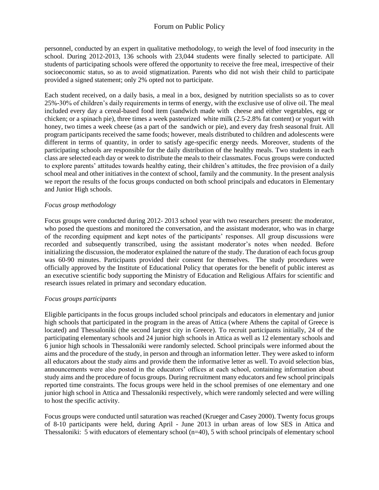personnel, conducted by an expert in qualitative methodology, to weigh the level of food insecurity in the school. During 2012-2013, 136 schools with 23,044 students were finally selected to participate. All students of participating schools were offered the opportunity to receive the free meal, irrespective of their socioeconomic status, so as to avoid stigmatization. Parents who did not wish their child to participate provided a signed statement; only 2% opted not to participate.

Each student received, on a daily basis, a meal in a box, designed by nutrition specialists so as to cover 25%-30% of children's daily requirements in terms of energy, with the exclusive use of olive oil. The meal included every day a cereal-based food item (sandwich made with cheese and either vegetables, egg or chicken; or a spinach pie), three times a week pasteurized white milk (2.5-2.8% fat content) or yogurt with honey, two times a week cheese (as a part of the sandwich or pie), and every day fresh seasonal fruit. All program participants received the same foods; however, meals distributed to children and adolescents were different in terms of quantity, in order to satisfy age-specific energy needs. Moreover, students of the participating schools are responsible for the daily distribution of the healthy meals. Two students in each class are selected each day or week to distribute the meals to their classmates. Focus groups were conducted to explore parents' attitudes towards healthy eating, their children's attitudes, the free provision of a daily school meal and other initiatives in the context of school, family and the community. In the present analysis we report the results of the focus groups conducted on both school principals and educators in Elementary and Junior High schools.

## *Focus group methodology*

Focus groups were conducted during 2012- 2013 school year with two researchers present: the moderator, who posed the questions and monitored the conversation, and the assistant moderator, who was in charge of the recording equipment and kept notes of the participants' responses. All group discussions were recorded and subsequently transcribed, using the assistant moderator's notes when needed. Before initializing the discussion, the moderator explained the nature of the study. The duration of each focus group was 60-90 minutes. Participants provided their consent for themselves. The study procedures were officially approved by the Institute of Educational Policy that operates for the benefit of public interest as an executive scientific body supporting the Ministry of Education and Religious Affairs for scientific and research issues related in primary and secondary education.

## *Focus groups participants*

Eligible participants in the focus groups included school principals and educators in elementary and junior high schools that participated in the program in the areas of Attica (where Athens the capital of Greece is located) and Thessaloniki (the second largest city in Greece). To recruit participants initially, 24 of the participating elementary schools and 24 junior high schools in Attica as well as 12 elementary schools and 6 junior high schools in Thessaloniki were randomly selected. School principals were informed about the aims and the procedure of the study, in person and through an information letter. They were asked to inform all educators about the study aims and provide them the informative letter as well. To avoid selection bias, announcements were also posted in the educators' offices at each school, containing information about study aims and the procedure of focus groups. During recruitment many educators and few school principals reported time constraints. The focus groups were held in the school premises of one elementary and one junior high school in Attica and Thessaloniki respectively, which were randomly selected and were willing to host the specific activity.

Focus groups were conducted until saturation was reached (Krueger and Casey 2000). Twenty focus groups of 8-10 participants were held, during April - June 2013 in urban areas of low SES in Attica and Thessaloniki: 5 with educators of elementary school (n=40), 5 with school principals of elementary school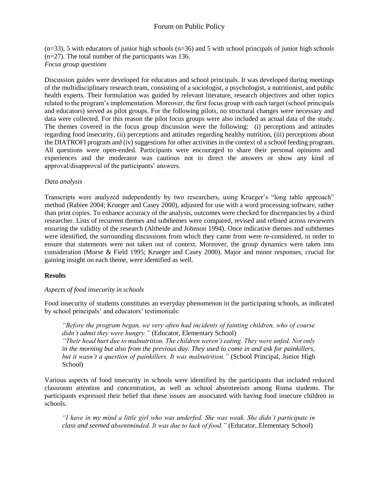$(n=33)$ , 5 with educators of junior high schools  $(n=36)$  and 5 with school principals of junior high schools (n=27). The total number of the participants was 136. *Focus group questions*

Discussion guides were developed for educators and school principals. It was developed during meetings of the multidisciplinary research team, consisting of a sociologist, a psychologist, a nutritionist, and public health experts. Their formulation was guided by relevant literature, research objectives and other topics related to the program's implementation. Moreover, the first focus group with each target (school principals and educators) served as pilot groups. For the following pilots, no structural changes were necessary and data were collected. For this reason the pilot focus groups were also included as actual data of the study. The themes covered in the focus group discussion were the following: (i) perceptions and attitudes regarding food insecurity, (ii) perceptions and attitudes regarding healthy nutrition, (iii) perceptions about the DIATROFI program and (iv) suggestions for other activities in the context of a school feeding program. All questions were open-ended. Participants were encouraged to share their personal opinions and experiences and the moderator was cautious not to direct the answers or show any kind of approval/disapproval of the participants' answers.

#### *Data analysis*

Transcripts were analyzed independently by two researchers, using Krueger's "long table approach" method (Rabiee 2004; Krueger and Casey 2000), adjusted for use with a word processing software, rather than print copies. To enhance accuracy of the analysis, outcomes were checked for discrepancies by a third researcher. Lists of recurrent themes and subthemes were compared, revised and refined across reviewers ensuring the validity of the research (Altheide and Johnson 1994). Once indicative themes and subthemes were identified, the surrounding discussions from which they came from were re-considered, in order to ensure that statements were not taken out of context. Moreover, the group dynamics were taken into consideration (Morse & Field 1995; Krueger and Casey 2000). Major and minor responses, crucial for gaining insight on each theme, were identified as well.

## **Results**

## *Aspects of food insecurity in schools*

Food insecurity of students constitutes an everyday phenomenon in the participating schools, as indicated by school principals' and educators' testimonials:

*"Before the program began, we very often had incidents of fainting children, who of course didn't admit they were hungry."* (Educator, Elementary School) *"Their head hurt due to malnutrition. The children weren't eating. They were unfed. Not only in the morning but also from the previous day. They used to come in and ask for painkillers,* 

*but it wasn't a question of painkillers. It was malnutrition."* (School Principal, Junior High School)

Various aspects of food insecurity in schools were identified by the participants that included reduced classroom attention and concentration, as well as school absenteeism among Roma students. The participants expressed their belief that these issues are associated with having food insecure children in schools.

*"I have in my mind a little girl who was underfed. She was weak. She didn't participate in class and seemed absentminded. It was due to lack of food."* (Educator, Elementary School)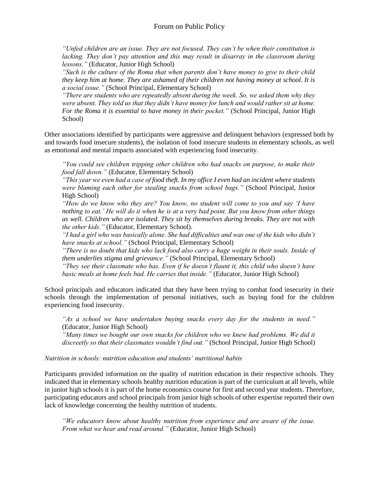*"Unfed children are an issue. They are not focused. They can't be when their constitution is lacking. They don't pay attention and this may result in disarray in the classroom during lessons."* (Educator, Junior High School)

*"Such is the culture of the Roma that when parents don't have money to give to their child they keep him at home. They are ashamed of their children not having money at school. It is a social issue."* (School Principal, Elementary School)

*"There are students who are repeatedly absent during the week. So, we asked them why they were absent. They told us that they didn't have money for lunch and would rather sit at home. For the Roma it is essential to have money in their pocket."* (School Principal, Junior High School)

Other associations identified by participants were aggressive and delinquent behaviors (expressed both by and towards food insecure students), the isolation of food insecure students in elementary schools, as well as emotional and mental impacts associated with experiencing food insecurity.

*"You could see children tripping other children who had snacks on purpose, to make their food fall down."* (Educator, Elementary School)

*"This year we even had a case of food theft. In my office I even had an incident where students were blaming each other for stealing snacks from school bags."* (School Principal, Junior High School)

*"How do we know who they are? You know, no student will come to you and say 'I have nothing to eat.' He will do it when he is at a very bad point. But you know from other things as well. Children who are isolated. They sit by themselves during breaks. They are not with the other kids."* (Educator, Elementary School).

*"I had a girl who was basically alone. She had difficulties and was one of the kids who didn't have snacks at school."* (School Principal, Elementary School)

*"There is no doubt that kids who lack food also carry a huge weight in their souls. Inside of them underlies stigma and grievance."* (School Principal, Elementary School)

*"They see their classmate who has. Even if he doesn't flaunt it, this child who doesn't have basic meals at home feels bad. He carries that inside."* (Educator, Junior High School)

School principals and educators indicated that they have been trying to combat food insecurity in their schools through the implementation of personal initiatives, such as buying food for the children experiencing food insecurity.

*"As a school we have undertaken buying snacks every day for the students in need."*  (Educator, Junior High School) *"Many times we bought our own snacks for children who we knew had problems. We did it* 

*discreetly so that their classmates wouldn't find out."* (School Principal, Junior High School)

#### *Nutrition in schools: nutrition education and students' nutritional habits*

Participants provided information on the quality of nutrition education in their respective schools. They indicated that in elementary schools healthy nutrition education is part of the curriculum at all levels, while in junior high schools it is part of the home economics course for first and second year students. Therefore, participating educators and school principals from junior high schools of other expertise reported their own lack of knowledge concerning the healthy nutrition of students.

*"We educators know about healthy nutrition from experience and are aware of the issue. From what we hear and read around."* (Educator, Junior High School)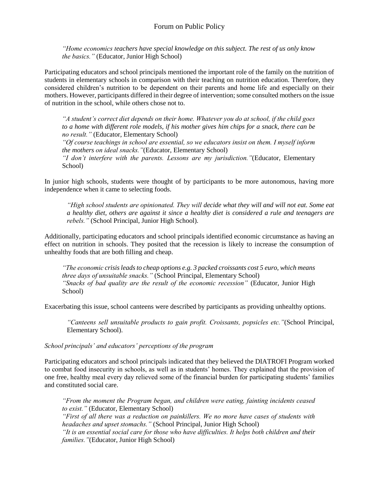*"Home economics teachers have special knowledge on this subject. The rest of us only know the basics."* (Educator, Junior High School)

Participating educators and school principals mentioned the important role of the family on the nutrition of students in elementary schools in comparison with their teaching on nutrition education. Therefore, they considered children's nutrition to be dependent on their parents and home life and especially on their mothers. However, participants differed in their degree of intervention; some consulted mothers on the issue of nutrition in the school, while others chose not to.

*"A student's correct diet depends on their home. Whatever you do at school, if the child goes to a home with different role models, if his mother gives him chips for a snack, there can be no result."* (Educator, Elementary School)

*"Of course teachings in school are essential, so we educators insist on them. I myself inform the mothers on ideal snacks."*(Educator, Elementary School)

*"I don't interfere with the parents. Lessons are my jurisdiction."*(Educator, Elementary School)

In junior high schools, students were thought of by participants to be more autonomous, having more independence when it came to selecting foods.

*"High school students are opinionated. They will decide what they will and will not eat. Some eat a healthy diet, others are against it since a healthy diet is considered a rule and teenagers are rebels."* (School Principal, Junior High School).

Additionally, participating educators and school principals identified economic circumstance as having an effect on nutrition in schools. They posited that the recession is likely to increase the consumption of unhealthy foods that are both filling and cheap.

*"The economic crisis leadsto cheap options e.g. 3 packed croissants cost 5 euro, which means three days of unsuitable snacks."* (School Principal, Elementary School) *"Snacks of bad quality are the result of the economic recession"* (Educator, Junior High School)

Exacerbating this issue, school canteens were described by participants as providing unhealthy options.

*"Canteens sell unsuitable products to gain profit. Croissants, popsicles etc."*(School Principal, Elementary School).

*School principals' and educators' perceptions of the program*

Participating educators and school principals indicated that they believed the DIATROFI Program worked to combat food insecurity in schools, as well as in students' homes. They explained that the provision of one free, healthy meal every day relieved some of the financial burden for participating students' families and constituted social care.

*"From the moment the Program began, and children were eating, fainting incidents ceased to exist."* (Educator, Elementary School) *"First of all there was a reduction on painkillers. We no more have cases of students with headaches and upset stomachs."* (School Principal, Junior High School) *"It is an essential social care for those who have difficulties. It helps both children and their families."*(Educator, Junior High School)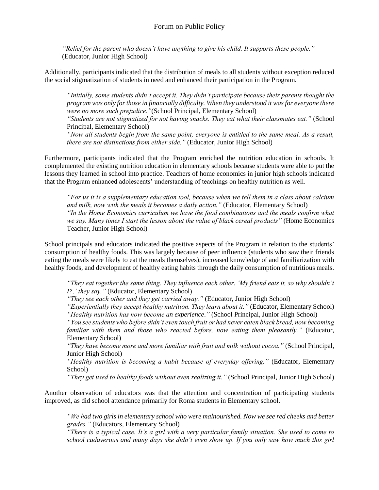*"Relief for the parent who doesn't have anything to give his child. It supports these people."*  (Educator, Junior High School)

Additionally, participants indicated that the distribution of meals to all students without exception reduced the social stigmatization of students in need and enhanced their participation in the Program.

*"Initially, some students didn't accept it. They didn't participate because their parents thought the program was only for those in financially difficulty. When they understood it was for everyone there were no more such prejudice."*(School Principal, Elementary School)

*"Students are not stigmatized for not having snacks. They eat what their classmates eat."* (School Principal, Elementary School)

*"Now all students begin from the same point, everyone is entitled to the same meal. As a result, there are not distinctions from either side."* (Educator, Junior High School)

Furthermore, participants indicated that the Program enriched the nutrition education in schools. It complemented the existing nutrition education in elementary schools because students were able to put the lessons they learned in school into practice. Teachers of home economics in junior high schools indicated that the Program enhanced adolescents' understanding of teachings on healthy nutrition as well.

*"For us it is a supplementary education tool, because when we tell them in a class about calcium and milk, now with the meals it becomes a daily action."* (Educator, Elementary School) *"In the Home Economics curriculum we have the food combinations and the meals confirm what we say. Many times I start the lesson about the value of black cereal products"* (Home Economics Teacher, Junior High School)

School principals and educators indicated the positive aspects of the Program in relation to the students' consumption of healthy foods. This was largely because of peer influence (students who saw their friends eating the meals were likely to eat the meals themselves), increased knowledge of and familiarization with healthy foods, and development of healthy eating habits through the daily consumption of nutritious meals.

*"They eat together the same thing. They influence each other. 'My friend eats it, so why shouldn't I?,' they say."* (Educator, Elementary School)

*"They see each other and they get carried away."* (Educator, Junior High School)

*"Experientially they accept healthy nutrition. They learn about it."* (Educator, Elementary School) *"Healthy nutrition has now become an experience*.*"* (School Principal, Junior High School)

*"You see students who before didn't even touch fruit or had never eaten black bread, now becoming familiar with them and those who reacted before, now eating them pleasantly.*" (Educator, Elementary School)

*"They have become more and more familiar with fruit and milk without cocoa."* (School Principal, Junior High School)

*"Healthy nutrition is becoming a habit because of everyday offering."* (Educator, Elementary School)

*"They get used to healthy foods without even realizing it."* (School Principal, Junior High School)

Another observation of educators was that the attention and concentration of participating students improved, as did school attendance primarily for Roma students in Elementary school.

*"We had two girls in elementary school who were malnourished. Now we see red cheeks and better grades."* (Educators, Elementary School)

*"There is a typical case. It's a girl with a very particular family situation. She used to come to school cadaverous and many days she didn't even show up. If you only saw how much this girl*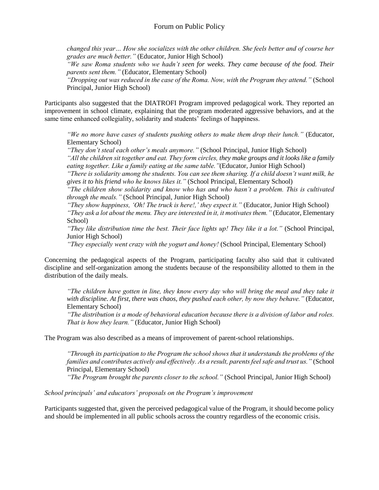*changed this year… How she socializes with the other children. She feels better and of course her grades are much better."* (Educator, Junior High School)

*"We saw Roma students who we hadn't seen for weeks. They came because of the food. Their parents sent them."* (Educator, Elementary School)

*"Dropping out was reduced in the case of the Roma. Now, with the Program they attend."* (School Principal, Junior High School)

Participants also suggested that the DIATROFI Program improved pedagogical work. They reported an improvement in school climate, explaining that the program moderated aggressive behaviors, and at the same time enhanced collegiality, solidarity and students' feelings of happiness.

*"We no more have cases of students pushing others to make them drop their lunch."* (Educator, Elementary School)

*"They don't steal each other's meals anymore."* (School Principal, Junior High School)

*"All the children sit together and eat. They form circles, they make groups and it looks like a family eating together. Like a family eating at the same table."*(Educator, Junior High School)

*"There is solidarity among the students. You can see them sharing. If a child doesn't want milk, he gives it to his friend who he knows likes it."* (School Principal, Elementary School)

*"The children show solidarity and know who has and who hasn't a problem. This is cultivated through the meals."* (School Principal, Junior High School)

*"They show happiness, 'Oh! The truck is here!,' they expect it."* (Educator, Junior High School) *"They ask a lot about the menu. They are interested in it, it motivates them."* (Educator, Elementary School)

*"They like distribution time the best. Their face lights up! They like it a lot."* (School Principal, Junior High School)

*"They especially went crazy with the yogurt and honey!* (School Principal, Elementary School)

Concerning the pedagogical aspects of the Program, participating faculty also said that it cultivated discipline and self-organization among the students because of the responsibility allotted to them in the distribution of the daily meals.

*"The children have gotten in line, they know every day who will bring the meal and they take it with discipline. At first, there was chaos, they pushed each other, by now they behave."* (Educator, Elementary School)

*"The distribution is a mode of behavioral education because there is a division of labor and roles. That is how they learn."* (Educator, Junior High School)

The Program was also described as a means of improvement of parent-school relationships.

*"Through its participation to the Program the school shows that it understands the problems of the families and contributes actively and effectively. As a result, parents feel safe and trust us."* (School Principal, Elementary School)

*"The Program brought the parents closer to the school."* (School Principal, Junior High School)

*School principals' and educators' proposals on the Program's improvement*

Participants suggested that, given the perceived pedagogical value of the Program, it should become policy and should be implemented in all public schools across the country regardless of the economic crisis.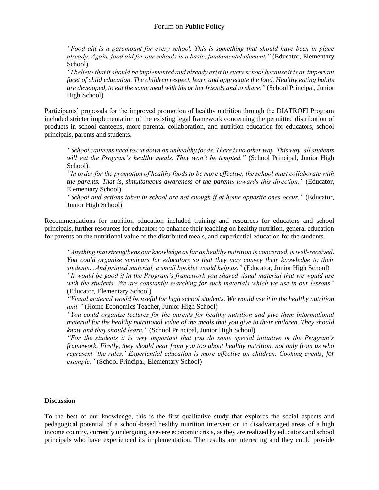*"Food aid is a paramount for every school. This is something that should have been in place already. Again, food aid for our schools is a basic, fundamental element."* (Educator, Elementary School)

*"I believe that it should be implemented and already exist in every school because it is an important facet of child education. The children respect, learn and appreciate the food. Healthy eating habits are developed, to eat the same meal with his or her friends and to share."* (School Principal, Junior High School)

Participants' proposals for the improved promotion of healthy nutrition through the DIATROFI Program included stricter implementation of the existing legal framework concerning the permitted distribution of products in school canteens, more parental collaboration, and nutrition education for educators, school principals, parents and students.

*"School canteens need to cut down on unhealthy foods. There is no other way. This way, all students*  will eat the Program's healthy meals. They won't be tempted." (School Principal, Junior High School).

*"In order for the promotion of healthy foods to be more effective, the school must collaborate with the parents. That is, simultaneous awareness of the parents towards this direction."* (Educator, Elementary School).

*"School and actions taken in school are not enough if at home opposite ones occur."* (Educator, Junior High School)

Recommendations for nutrition education included training and resources for educators and school principals, further resources for educators to enhance their teaching on healthy nutrition, general education for parents on the nutritional value of the distributed meals, and experiential education for the students.

*"Anything that strengthens our knowledge as far as healthy nutrition is concerned, is well-received. You could organize seminars for educators so that they may convey their knowledge to their students…And printed material, a small booklet would help us."* (Educator, Junior High School) *"It would be good if in the Program's framework you shared visual material that we would use with the students. We are constantly searching for such materials which we use in our lessons"*  (Educator, Elementary School)

*"Visual material would be useful for high school students. We would use it in the healthy nutrition unit."* (Home Economics Teacher, Junior High School)

*"You could organize lectures for the parents for healthy nutrition and give them informational material for the healthy nutritional value of the meals that you give to their children. They should know and they should learn."* (School Principal, Junior High School)

*"For the students it is very important that you do some special initiative in the Program's framework. Firstly, they should hear from you too about healthy nutrition, not only from us who represent 'the rules.' Experiential education is more effective on children. Cooking events, for example."* (School Principal, Elementary School)

#### **Discussion**

To the best of our knowledge, this is the first qualitative study that explores the social aspects and pedagogical potential of a school-based healthy nutrition intervention in disadvantaged areas of a high income country, currently undergoing a severe economic crisis, as they are realized by educators and school principals who have experienced its implementation. The results are interesting and they could provide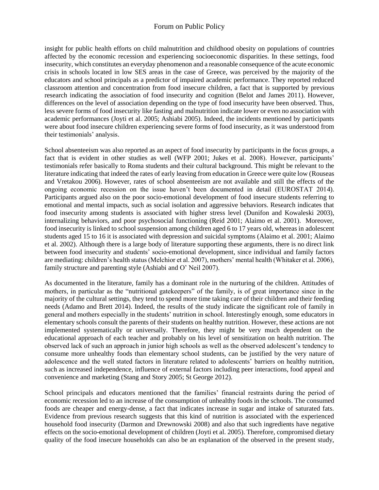# Forum on Public Policy

insight for public health efforts on child malnutrition and childhood obesity on populations of countries affected by the economic recession and experiencing socioeconomic disparities. In these settings, food insecurity, which constitutes an everyday phenomenon and a reasonable consequence of the acute economic crisis in schools located in low SES areas in the case of Greece, was perceived by the majority of the educators and school principals as a predictor of impaired academic performance. They reported reduced classroom attention and concentration from food insecure children, a fact that is supported by previous research indicating the association of food insecurity and cognition (Belot and James 2011). However, differences on the level of association depending on the type of food insecurity have been observed. Thus, less severe forms of food insecurity like fasting and malnutrition indicate lower or even no association with academic performances (Joyti et al. 2005; Ashiabi 2005). Indeed, the incidents mentioned by participants were about food insecure children experiencing severe forms of food insecurity, as it was understood from their testimonials' analysis.

School absenteeism was also reported as an aspect of food insecurity by participants in the focus groups, a fact that is evident in other studies as well (WFP 2001; Jukes et al. 2008). However, participants' testimonials refer basically to Roma students and their cultural background. This might be relevant to the literature indicating that indeed the rates of early leaving from education in Greece were quite low (Rouseas and Vretakou 2006). However, rates of school absenteeism are not available and still the effects of the ongoing economic recession on the issue haven't been documented in detail (EUROSTAT 2014). Participants argued also on the poor socio-emotional development of food insecure students referring to emotional and mental impacts, such as social isolation and aggressive behaviors. Research indicates that food insecurity among students is associated with higher stress level (Dunifon and Kowaleski 2003), internalizing behaviors, and poor psychosocial functioning (Reid 2001; Alaimo et al. 2001). Moreover, food insecurity is linked to school suspension among children aged 6 to 17 years old, whereas in adolescent students aged 15 to 16 it is associated with depression and suicidal symptoms (Alaimo et al. 2001; Alaimo et al. 2002). Although there is a large body of literature supporting these arguments, there is no direct link between food insecurity and students' socio-emotional development, since individual and family factors are mediating: children's health status (Melchior et al. 2007), mothers' mental health (Whitaker et al. 2006), family structure and parenting style (Ashiabi and O' Neil 2007).

As documented in the literature, family has a dominant role in the nurturing of the children. Attitudes of mothers, in particular as the "nutritional gatekeepers" of the family, is of great importance since in the majority of the cultural settings, they tend to spend more time taking care of their children and their feeding needs (Adamo and Brett 2014). Indeed, the results of the study indicate the significant role of family in general and mothers especially in the students' nutrition in school. Interestingly enough, some educators in elementary schools consult the parents of their students on healthy nutrition. However, these actions are not implemented systematically or universally. Therefore, they might be very much dependent on the educational approach of each teacher and probably on his level of sensitization on health nutrition. The observed lack of such an approach in junior high schools as well as the observed adolescent's tendency to consume more unhealthy foods than elementary school students, can be justified by the very nature of adolescence and the well stated factors in literature related to adolescents' barriers on healthy nutrition, such as increased independence, influence of external factors including peer interactions, food appeal and convenience and marketing (Stang and Story 2005; St George 2012).

School principals and educators mentioned that the families' financial restraints during the period of economic recession led to an increase of the consumption of unhealthy foods in the schools. The consumed foods are cheaper and energy-dense, a fact that indicates increase in sugar and intake of saturated fats. Evidence from previous research suggests that this kind of nutrition is associated with the experienced household food insecurity (Darmon and Drewnowski 2008) and also that such ingredients have negative effects on the socio-emotional development of children (Joyti et al. 2005). Therefore, compromised dietary quality of the food insecure households can also be an explanation of the observed in the present study,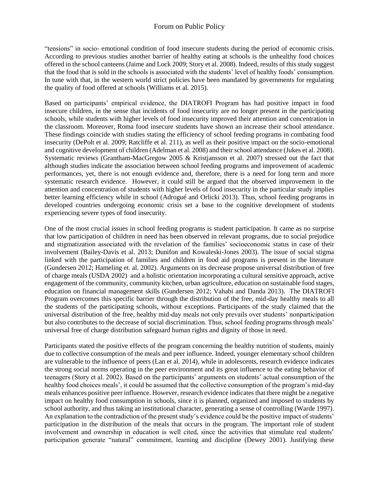"tensions" in socio- emotional condition of food insecure students during the period of economic crisis. According to previous studies another barrier of healthy eating at schools is the unhealthy food choices offered in the school canteens (Jaime and Lock 2009; Story et al. 2008). Indeed, results of this study suggest that the food that is sold in the schools is associated with the students' level of healthy foods' consumption. In tune with that, in the western world strict policies have been mandated by governments for regulating the quality of food offered at schools (Williams et al. 2015).

Based on participants' empirical evidence, the DIATROFI Program has had positive impact in food insecure children, in the sense that incidents of food insecurity are no longer present in the participating schools, while students with higher levels of food insecurity improved their attention and concentration in the classroom. Moreover, Roma food insecure students have shown an increase their school attendance. These findings coincide with studies stating the efficiency of school feeding programs in combating food insecurity (DePolt et al. 2009; Ratcliffe et al. 211), as well as their positive impact on the socio-emotional and cognitive development of children (Adelman et al. 2008) and their school attendance (Jukes et al. 2008). Systematic reviews (Grantham-MacGregow 2005 & Kristjansson et al. 2007) stressed out the fact that although studies indicate the association between school feeding programs and improvement of academic performances, yet, there is not enough evidence and, therefore, there is a need for long term and more systematic research evidence. However, it could still be argued that the observed improvement in the attention and concentration of students with higher levels of food insecurity in the particular study implies better learning efficiency while in school (Adrogué and Orlicki 2013). Thus, school feeding programs in developed countries undergoing economic crisis set a base to the cognitive development of students experiencing severe types of food insecurity.

One of the most crucial issues in school feeding programs is student participation. It came as no surprise that low participation of children in need has been observed in relevant programs, due to social prejudice and stigmatization associated with the revelation of the families' socioeconomic status in case of their involvement (Bailey-Davis et al. 2013; Dunifon and Kowaleski-Jones 2003). The issue of social stigma linked with the participation of families and children in food aid programs is present in the literature (Gundersen 2012; Hameling et. al. 2002). Arguments on its decrease propose universal distribution of free of charge meals (USDA 2002) and a holistic orientation incorporating a cultural sensitive approach, active engagement of the community, community kitchen, urban agriculture, education on sustainable food stages, education on financial management skills (Gundersen 2012; Vahabi and Danda 2013). The DIATROFI Program overcomes this specific barrier through the distribution of the free, mid-day healthy meals to all the students of the participating schools, without exceptions. Participants of the study claimed that the universal distribution of the free, healthy mid-day meals not only prevails over students' nonparticipation but also contributes to the decrease of social discrimination. Thus, school feeding programs through meals' universal free of charge distribution safeguard human rights and dignity of those in need.

Participants stated the positive effects of the program concerning the healthy nutrition of students, mainly due to collective consumption of the meals and peer influence. Indeed, younger elementary school children are vulnerable to the influence of peers (Lan et al. 2014), while in adolescents, research evidence indicates the strong social norms operating in the peer environment and its great influence to the eating behavior of teenagers (Story et al. 2002). Based on the participants' arguments on students' actual consumption of the healthy food choices meals', it could be assumed that the collective consumption of the program's mid-day meals enhances positive peer influence. However, research evidence indicates that there might be a negative impact on healthy food consumption in schools, since it is planned, organized and imposed to students by school authority, and thus taking an institutional character, generating a sense of controlling (Warde 1997). An explanation to the contradiction of the present study's evidence could be the positive impact of students' participation in the distribution of the meals that occurs in the program. The important role of student involvement and ownership in education is well cited, since the activities that stimulate real students' participation generate "natural" commitment, learning and discipline (Dewey 2001). Justifying these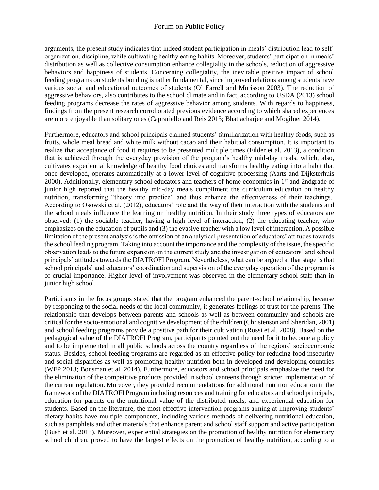## Forum on Public Policy

arguments, the present study indicates that indeed student participation in meals' distribution lead to selforganization, discipline, while cultivating healthy eating habits. Moreover, students' participation in meals' distribution as well as collective consumption enhance collegiality in the schools, reduction of aggressive behaviors and happiness of students. Concerning collegiality, the inevitable positive impact of school feeding programs on students bonding is rather fundamental, since improved relations among students have various social and educational outcomes of students (O' Farrell and Morisson 2003). The reduction of aggressive behaviors, also contributes to the school climate and in fact, according to USDA (2013) school feeding programs decrease the rates of aggressive behavior among students. With regards to happiness, findings from the present research corroborated previous evidence according to which shared experiences are more enjoyable than solitary ones (Caprariello and Reis 2013; Bhattacharjee and Mogilner 2014).

Furthermore, educators and school principals claimed students' familiarization with healthy foods, such as fruits, whole meal bread and white milk without cacao and their habitual consumption. It is important to realize that acceptance of food it requires to be presented multiple times (Filder et al. 2013), a condition that is achieved through the everyday provision of the program's healthy mid-day meals, which, also, cultivates experiential knowledge of healthy food choices and transforms healthy eating into a habit that once developed, operates automatically at a lower level of cognitive processing (Aarts and Dijksterhuis 2000). Additionally, elementary school educators and teachers of home economics in 1<sup>st</sup> and 2ndgrade of junior high reported that the healthy mid-day meals compliment the curriculum education on healthy nutrition, transforming "theory into practice" and thus enhance the effectiveness of their teachings.. According to Osowski et al. (2012), educators' role and the way of their interaction with the students and the school meals influence the learning on healthy nutrition. In their study three types of educators are observed: (1) the sociable teacher, having a high level of interaction, (2) the educating teacher, who emphasizes on the education of pupils and (3) the evasive teacher with a low level of interaction. A possible limitation of the present analysis is the omission of an analytical presentation of educators' attitudes towards the school feeding program. Taking into account the importance and the complexity of the issue, the specific observation leads to the future expansion on the current study and the investigation of educators' and school principals' attitudes towards the DIATROFI Program. Nevertheless, what can be argued at that stage is that school principals' and educators' coordination and supervision of the everyday operation of the program is of crucial importance. Higher level of involvement was observed in the elementary school staff than in junior high school.

Participants in the focus groups stated that the program enhanced the parent-school relationship, because by responding to the social needs of the local community, it generates feelings of trust for the parents. The relationship that develops between parents and schools as well as between community and schools are critical for the socio-emotional and cognitive development of the children (Christenson and Sheridan, 2001) and school feeding programs provide a positive path for their cultivation (Rossi et al. 2008). Based on the pedagogical value of the DIATROFI Program, participants pointed out the need for it to become a policy and to be implemented in all public schools across the country regardless of the regions' socioeconomic status. Besides, school feeding programs are regarded as an effective policy for reducing food insecurity and social disparities as well as promoting healthy nutrition both in developed and developing countries (WFP 2013; Bonsman et al. 2014). Furthermore, educators and school principals emphasize the need for the elimination of the competitive products provided in school canteens through stricter implementation of the current regulation. Moreover, they provided recommendations for additional nutrition education in the framework of the DIATROFI Program including resources and training for educators and school principals, education for parents on the nutritional value of the distributed meals, and experiential education for students. Based on the literature, the most effective intervention programs aiming at improving students' dietary habits have multiple components, including various methods of delivering nutritional education, such as pamphlets and other materials that enhance parent and school staff support and active participation (Bush et al. 2013). Moreover, experiential strategies on the promotion of healthy nutrition for elementary school children, proved to have the largest effects on the promotion of healthy nutrition, according to a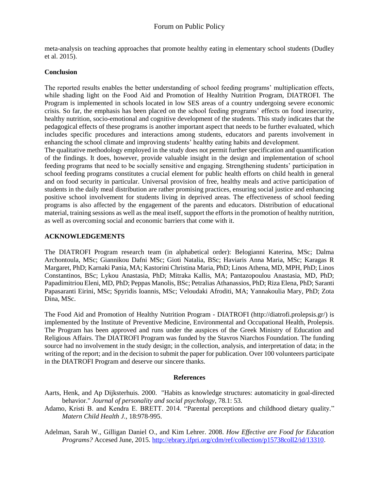meta-analysis on teaching approaches that promote healthy eating in elementary school students (Dudley et al. 2015).

#### **Conclusion**

The reported results enables the better understanding of school feeding programs' multiplication effects, while shading light on the Food Aid and Promotion of Healthy Nutrition Program, DIATROFI. The Program is implemented in schools located in low SES areas of a country undergoing severe economic crisis. So far, the emphasis has been placed on the school feeding programs' effects on food insecurity, healthy nutrition, socio-emotional and cognitive development of the students. This study indicates that the pedagogical effects of these programs is another important aspect that needs to be further evaluated, which includes specific procedures and interactions among students, educators and parents involvement in enhancing the school climate and improving students' healthy eating habits and development.

The qualitative methodology employed in the study does not permit further specification and quantification of the findings. It does, however, provide valuable insight in the design and implementation of school feeding programs that need to be socially sensitive and engaging. Strengthening students' participation in school feeding programs constitutes a crucial element for public health efforts on child health in general and on food security in particular. Universal provision of free, healthy meals and active participation of students in the daily meal distribution are rather promising practices, ensuring social justice and enhancing positive school involvement for students living in deprived areas. The effectiveness of school feeding programs is also affected by the engagement of the parents and educators. Distribution of educational material, training sessions as well as the meal itself, support the efforts in the promotion of healthy nutrition, as well as overcoming social and economic barriers that come with it.

#### **ACKNOWLEDGEMENTS**

The DIATROFI Program research team (in alphabetical order): Belogianni Katerina, MSc; Dalma Archontoula, MSc; Giannikou Dafni MSc; Gioti Natalia, BSc; Haviaris Anna Maria, MSc; Karagas R Margaret, PhD; Karnaki Pania, MA; Kastorini Christina Maria, PhD; Linos Athena, MD, MPH, PhD; Linos Constantinos, BSc; Lykou Anastasia, PhD; Mitraka Kallis, MA; Pantazopoulou Anastasia, MD, PhD; Papadimitriou Eleni, MD, PhD; Peppas Manolis, BSc; Petralias Athanassios, PhD; Riza Elena, PhD; Saranti Papasaranti Eirini, MSc; Spyridis Ioannis, MSc; Veloudaki Afroditi, MA; Yannakoulia Mary, PhD; Zota Dina, MSc.

The Food Aid and Promotion of Healthy Nutrition Program - DIATROFI (http://diatrofi.prolepsis.gr/) is implemented by the Institute of Preventive Medicine, Environmental and Occupational Health, Prolepsis. The Program has been approved and runs under the auspices of the Greek Ministry of Education and Religious Affairs. The DIATROFI Program was funded by the Stavros Niarchos Foundation. The funding source had no involvement in the study design; in the collection, analysis, and interpretation of data; in the writing of the report; and in the decision to submit the paper for publication. Over 100 volunteers participate in the DIATROFI Program and deserve our sincere thanks.

#### **References**

- Aarts, Henk, and Ap Dijksterhuis. 2000. "Habits as knowledge structures: automaticity in goal-directed behavior." *Journal of personality and social psychology*, 78.1: 53.
- Adamo, Kristi B. and Kendra E. BRETT. 2014. "Parental perceptions and childhood dietary quality." *Matern Child Health J.*, 18:978-995.

Adelman, Sarah W., Gilligan Daniel O., and Kim Lehrer. 2008. *How Effective are Food for Education Programs?* Accesed June, 2015. [http://ebrary.ifpri.org/cdm/ref/collection/p15738coll2/id/13310.](http://ebrary.ifpri.org/cdm/ref/collection/p15738coll2/id/13310)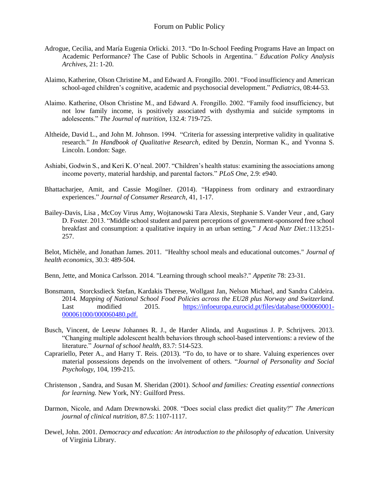- Adrogue, Cecilia, and María Eugenia Orlicki. 2013. "Do In-School Feeding Programs Have an Impact on Academic Performance? The Case of Public Schools in Argentina*." Education Policy Analysis Archives*, 21: 1-20.
- Alaimo, Katherine, Olson Christine M., and Edward A. Frongillo. 2001. "Food insufficiency and American school-aged children's cognitive, academic and psychosocial development." *Pediatrics*, 08:44-53.
- Alaimo. Katherine, Olson Christine M., and Edward A. Frongillo. 2002. "Family food insufficiency, but not low family income, is positively associated with dysthymia and suicide symptoms in adolescents." *The Journal of nutrition*, 132.4: 719-725.
- Altheide, David L., and John M. Johnson. 1994. "Criteria for assessing interpretive validity in qualitative research." *In Handbook of Qualitative Research*, edited by Denzin, Norman K., and Yvonna S. Lincoln. London: Sage.
- Ashiabi, Godwin S., and Keri K. O'neal. 2007. "Children's health status: examining the associations among income poverty, material hardship, and parental factors." *PLoS One*, 2.9: e940.
- Bhattacharjee, Amit, and Cassie Mogilner. (2014). "Happiness from ordinary and extraordinary experiences." *Journal of Consumer Research*, 41, 1-17.
- Bailey-Davis, Lisa , McCoy Virus Amy, Wojtanowski Tara Alexis, Stephanie S. Vander Veur , and, Gary D. Foster. 2013. "Middle school student and parent perceptions of government-sponsored free school breakfast and consumption: a qualitative inquiry in an urban setting." *J Acad Nutr Diet.:*113:251- 257.

Belot, Michèle, and Jonathan James. 2011. "Healthy school meals and educational outcomes." *Journal of health economics,* 30.3: 489-504.

Benn, Jette, and Monica Carlsson. 2014. "Learning through school meals?." *Appetite* 78: 23-31.

- Bonsmann, Storcksdieck Stefan, Kardakis Therese, Wollgast Jan, Nelson Michael, and Sandra Caldeira. 2014*. Mapping of National School Food Policies across the EU28 plus Norway and Switzerland.* Last modified 2015. [https://infoeuropa.eurocid.pt/files/database/000060001-](https://infoeuropa.eurocid.pt/files/database/000060001-000061000/000060480.pdf) [000061000/000060480.pdf.](https://infoeuropa.eurocid.pt/files/database/000060001-000061000/000060480.pdf)
- Busch, Vincent, de Leeuw Johannes R. J., de Harder Alinda, and Augustinus J. P. Schrijvers. 2013. "Changing multiple adolescent health behaviors through school-based interventions: a review of the literature." *Journal of school health*, 83.7: 514-523.
- Caprariello, Peter A., and Harry T. Reis. (2013). "To do, to have or to share. Valuing experiences over material possessions depends on the involvement of others. "*Journal of Personality and Social Psychology*, 104, 199-215.
- Christenson , Sandra, and Susan M. Sheridan (2001). *School and families: Creating essential connections for learning.* New York, NY: Guilford Press.
- Darmon, Nicole, and Adam Drewnowski. 2008. "Does social class predict diet quality?" *The American journal of clinical nutrition*, 87.5: 1107-1117.
- Dewel, John. 2001. *Democracy and education: An introduction to the philosophy of education.* University of Virginia Library.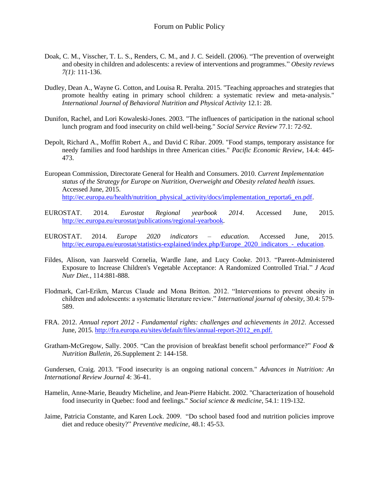- Doak, C. M., Visscher, T. L. S., Renders, C. M., and J. C. Seidell. (2006). "The prevention of overweight and obesity in children and adolescents: a review of interventions and programmes." *Obesity reviews 7(1):* 111-136.
- Dudley, Dean A., Wayne G. Cotton, and Louisa R. Peralta. 2015. "Teaching approaches and strategies that promote healthy eating in primary school children: a systematic review and meta-analysis." *International Journal of Behavioral Nutrition and Physical Activity* 12.1: 28.
- Dunifon, Rachel, and Lori Kowaleski-Jones. 2003. "The influences of participation in the national school lunch program and food insecurity on child well-being." *Social Service Review* 77.1: 72-92.
- Depolt, Richard A., Moffitt Robert A., and David C Ribar. 2009. "Food stamps, temporary assistance for needy families and food hardships in three American cities." *Pacific Economic Review*, 14.4: 445- 473.
- European Commission, Directorate General for Health and Consumers. 2010. *Current Implementation status of the Strategy for Europe on Nutrition, Overweight and Obesity related health issues.*  Accessed June, 2015. [http://ec.europa.eu/health/nutrition\\_physical\\_activity/docs/implementation\\_reporta6\\_en.pdf.](http://ec.europa.eu/health/nutrition_physical_activity/docs/implementation_reporta6_en.pdf)
- EUROSTAT. 2014. *Eurostat Regional yearbook 2014*. Accessed June, 2015. [http://ec.europa.eu/eurostat/publications/regional-yearbook.](http://ec.europa.eu/eurostat/publications/regional-yearbook)
- EUROSTAT. 2014. *Europe 2020 indicators – education.* Accessed June, 2015*.*  [http://ec.europa.eu/eurostat/statistics-explained/index.php/Europe\\_2020\\_indicators\\_-\\_education.](http://ec.europa.eu/eurostat/statistics-explained/index.php/Europe_2020_indicators_-_education)
- Fildes, Alison, van Jaarsveld Cornelia, Wardle Jane, and Lucy Cooke. 2013. "Parent-Administered Exposure to Increase Children's Vegetable Acceptance: A Randomized Controlled Trial." *J Acad Nutr Diet.*, 114:881-888.
- Flodmark, Carl-Erikm, Marcus Claude and Mona Britton. 2012. "Interventions to prevent obesity in children and adolescents: a systematic literature review." *International journal of obesity,* 30.4: 579- 589.
- FRA. 2012. *Annual report 2012 - Fundamental rights: challenges and achievements in 2012*. Accessed June, 2015. [http://fra.europa.eu/sites/default/files/annual-report-2012\\_en.pdf.](http://fra.europa.eu/sites/default/files/annual-report-2012_en.pdf)
- Gratham-McGregow, Sally. 2005. "Can the provision of breakfast benefit school performance?" *Food & Nutrition Bulletin*, 26.Supplement 2: 144-158.

Gundersen, Craig. 2013. "Food insecurity is an ongoing national concern." *Advances in Nutrition: An International Review Journal* 4: 36-41.

- Hamelin, Anne-Marie, Beaudry Micheline, and Jean-Pierre Habicht. 2002. "Characterization of household food insecurity in Quebec: food and feelings." *Social science & medicine*, 54.1: 119-132.
- Jaime, Patricia Constante, and Karen Lock. 2009. "Do school based food and nutrition policies improve diet and reduce obesity?" *Preventive medicine*, 48.1: 45-53.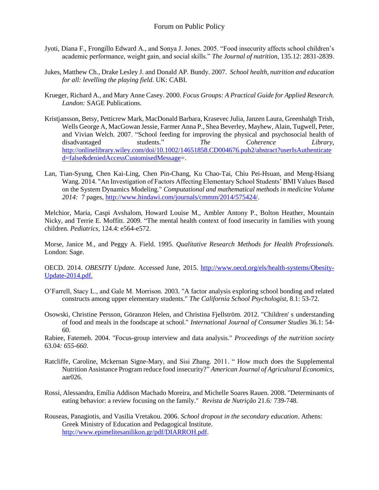- Jyoti, Diana F., Frongillo Edward A., and Sonya J. Jones. 2005. "Food insecurity affects school children's academic performance, weight gain, and social skills." *The Journal of nutrition*, 135.12: 2831-2839.
- Jukes, Matthew Ch., Drake Lesley J. and Donald AP. Bundy. 2007. *School health, nutrition and education for all: levelling the playing field*. UK: CABI.
- Krueger, Richard A., and Mary Anne Casey. 2000. *Focus Groups: A Practical Guide for Applied Research. Landon:* SAGE Publications.
- Kristjansson, Betsy, Petticrew Mark, MacDonald Barbara, Krasevec Julia, Janzen Laura, Greenhalgh Trish, Wells George A, MacGowan Jessie, Farmer Anna P., Shea Beverley, Mayhew, Alain, Tugwell, Peter, and Vivian Welch. 2007. "School feeding for improving the physical and psychosocial health of disadvantaged students." *The Coherence Library*, [http://onlinelibrary.wiley.com/doi/10.1002/14651858.CD004676.pub2/abstract?userIsAuthenticate](http://onlinelibrary.wiley.com/doi/10.1002/14651858.CD004676.pub2/abstract?userIsAuthenticated=false&deniedAccessCustomisedMessage) [d=false&deniedAccessCustomisedMessage=](http://onlinelibrary.wiley.com/doi/10.1002/14651858.CD004676.pub2/abstract?userIsAuthenticated=false&deniedAccessCustomisedMessage).
- Lan, Tian-Syung, Chen Kai-Ling, Chen Pin-Chang, Ku Chao-Tai, Chiu Pei-Hsuan, and Meng-Hsiang Wang. 2014. "An Investigation of Factors Affecting Elementary School Students' BMI Values Based on the System Dynamics Modeling." *Computational and mathematical methods in medicine Volume 2014:* 7 pages, [http://www.hindawi.com/journals/cmmm/2014/575424/.](http://www.hindawi.com/journals/cmmm/2014/575424/)

Melchior, Maria, Caspi Avshalom, Howard Louise M., Ambler Antony P., Bolton Heather, Mountain Nicky, and Terrie E. Moffitt. 2009. "The mental health context of food insecurity in families with young children. *Pediatrics*, 124.4: e564-e572.

Morse, Janice M., and Peggy A. Field. 1995. *Qualitative Research Methods for Health Professionals.* London: Sage.

OECD. 2014. *OBESITY Update.* Accessed June, 2015. [http://www.oecd.org/els/health-systems/Obesity-](http://www.oecd.org/els/health-systems/Obesity-Update-2014.pdf)[Update-2014.pdf.](http://www.oecd.org/els/health-systems/Obesity-Update-2014.pdf)

- O'Farrell, Stacy L., and Gale M. Morrison. 2003. "A factor analysis exploring school bonding and related constructs among upper elementary students." *The California School Psychologist*, 8.1: 53-72.
- Osowski, Christine Persson, Göranzon Helen, and Christina Fjellström. 2012. "Children' s understanding of food and meals in the foodscape at school." *International Journal of Consumer Studies* 36.1: 54- 60.

Rabiee, Fatemeh. 2004. "Focus-group interview and data analysis." *Proceedings of the nutrition society*  63.04*: 655-660*.

- Ratcliffe, Caroline, Mckernan Signe-Mary, and Sisi Zhang. 2011. " How much does the Supplemental Nutrition Assistance Program reduce food insecurity?" *American Journal of Agricultural Economics*, aar026.
- Rossi, Alessandra, Emília Addison Machado Moreira, and Michelle Soares Rauen. 2008. "Determinants of eating behavior: a review focusing on the family." *Revista de Nutrição* 21.6*:* 739-748.
- Rouseas, Panagiotis, and Vasilia Vretakou. 2006. *School dropout in the secondary education*. Athens: Greek Ministry of Education and Pedagogical Institute. [http://www.epimelitesanilikon.gr/pdf/DIARROH.pdf.](http://www.epimelitesanilikon.gr/pdf/DIARROH.pdf)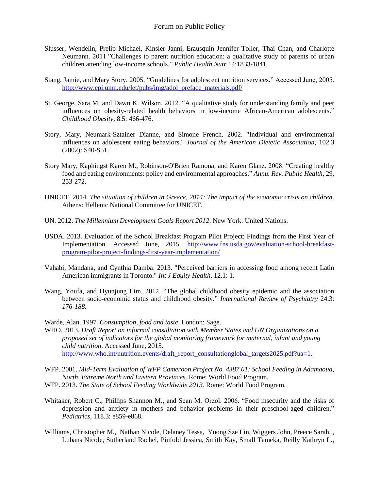- Slusser, Wendelin, Prelip Michael, Kinsler Janni, Erausquin Jennifer Toller, Thai Chan, and Charlotte Neumann. 2011."Challenges to parent nutrition education: a qualitative study of parents of urban children attending low-income schools." *Public Health Nutr.*14:1833-1841.
- Stang, Jamie, and Mary Story. 2005. "Guidelines for adolescent nutrition services." Accessed June, 2005. [http://www.epi.umn.edu/let/pubs/img/adol\\_preface\\_materials.pdf/](http://www.epi.umn.edu/let/pubs/img/adol_preface_materials.pdf/)
- St. George, Sara M. and Dawn K. Wilson. 2012. "A qualitative study for understanding family and peer influences on obesity-related health behaviors in low-income African-American adolescents." *Childhood Obesity*, 8.5: 466-476.
- Story, Mary, Neumark-Sztainer Dianne, and Simone French. 2002. "Individual and environmental influences on adolescent eating behaviors." *Journal of the American Dietetic Association*, 102.3 (2002): S40-S51.
- Story Mary, Kaphingst Karen M., Robinson-O'Brien Ramona, and Karen Glanz. 2008. "Creating healthy food and eating environments: policy and environmental approaches." *Annu. Rev. Public Health*, 29, 253-272.
- UNICEF. 2014. *The situation of children in Greece, 2014: The impact of the economic crisis on children.*  Athens: Hellenic National Committee for UNICEF.
- UN. 2012. *The Millennium Development Goals Report 2012*. New York: United Nations.
- USDA. 2013. Evaluation of the School Breakfast Program Pilot Project: Findings from the First Year of Implementation. Accessed June, 2015. [http://www.fns.usda.gov/evaluation-school-breakfast](http://www.fns.usda.gov/evaluation-school-breakfast-program-pilot-project-findings-first-year-implementation/)[program-pilot-project-findings-first-year-implementation/](http://www.fns.usda.gov/evaluation-school-breakfast-program-pilot-project-findings-first-year-implementation/)
- Vahabi, Mandana, and Cynthia Damba. 2013. "Perceived barriers in accessing food among recent Latin American immigrants in Toronto." *Int J Equity Health,* 12.1: 1.
- Wang, Youfa, and Hyunjung Lim. 2012. "The global childhood obesity epidemic and the association between socio-economic status and childhood obesity." *International Review of Psychiatry* 24.3: *176-188.*
- Warde, Alan. 1997*. Consumption, food and taste*. London: Sage.
- WHO. 2013. *Draft Report on informal consultation with Member States and UN Organizations on a proposed set of indicators for the global monitoring framework for maternal, infant and young child nutrition*. Accessed June, 2015. http://www<u>.who.int/nutrition.events/draft\_report\_consultationglobal\_targets2025.pdf?ua=1.</u>
- WFP. 2001. *Mid-Term Evaluation of WFP Cameroon Project No. 4387.01: School Feeding in Adamaoua, North, Extreme North and Eastern Provinces*. Rome: World Food Program.
- WFP. 2013. *The State of School Feeding Worldwide 2013.* Rome: World Food Program.
- Whitaker, Robert C., Phillips Shannon M., and Sean M. Orzol. 2006. "Food insecurity and the risks of depression and anxiety in mothers and behavior problems in their preschool-aged children." *Pediatrics*, 118.3: e859-e868.
- Williams, Christopher M., Nathan Nicole, Delaney Tessa, Yoong Sze Lin, Wiggers John, Preece Sarah, , Lubans Nicole, Sutherland Rachel, Pinfold Jessica, Smith Kay, Small Tameka, Reilly Kathryn L.,